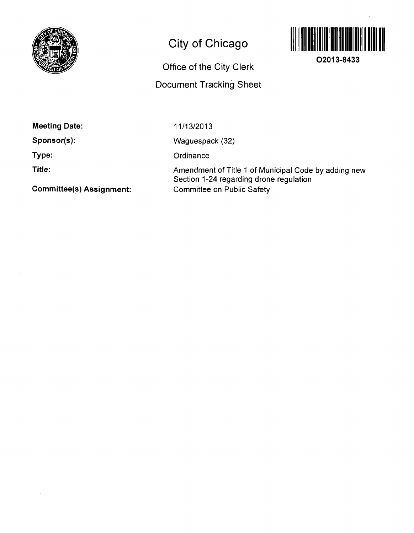

# **City of Chicago**



**02013-8433** 

Office of the City Clerk

Document Tracking Sheet

Meeting Date:

Sponsor(s):

Type:

Title:

Committee(s) Assignment:

11/13/2013

Waguespack (32)

**Ordinance** 

Amendment of Title 1 of Municipal Code by adding new Section 1-24 regarding drone regulation Committee on Public Safety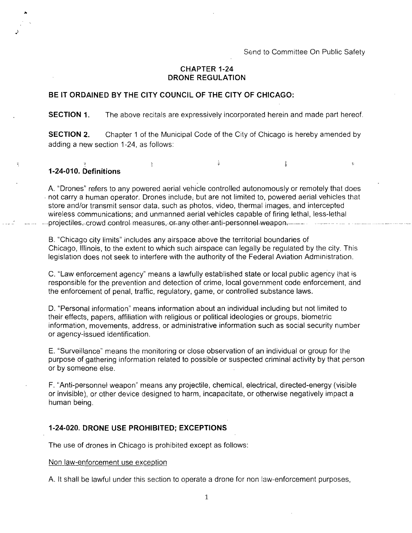÷.

# **CHAPTER 1-24 DRONE REGULATION**

## **BE IT ORDAINED BY THE CITY COUNCIL OF THE CITY OF CHICAGO:**

 $\ddot{\chi}$ 

#### **SECTION 1.** The above recitals are expressively incorporated herein and made part hereof.

**SECTION 2.** Chapter 1 of the Municipal Code of the City of Chicago is hereby amended by adding a new section 1-24, as follows:

ĝ.

# **1-24-010. Definitions**

A. "Drones" refers to any powered aerial vehicle controlled autonomously or remotely that does not carry a human operator. Drones include; but are not limited to, powered aerial vehicles that store and/or transmit sensor data, such as photos, video, thermal images, and intercepted wireless communications; and unmanned aerial vehicles capable of firing lethal, less-lethal projectiles, crowd control measures, or any other anti-personnel weapon.

B. "Chicago city limits" includes any airspace above the territorial boundaries of Chicago, Illinois, to the extent to which such airspace can legally be regulated by the city. This legislation does not seek to interfere with the authority of the Federal Aviation Administration.

C. "Law enforcement agency" means a lawfully established state or local public agency that is responsible for the prevention and detection of crime, local government code enforcement, and the enforcement of penal, traffic, regulatory, game, or controlled substance laws.

D. "Personal information" means information about an individual including but not limited to their effects, papers, affiliation with religious or political ideologies or groups, biometric information, movements, address, or administrative information such as social security number or agency-issued identification.

E. "Surveillance" means the monitoring or close observation of an individual or group for the purpose of gathering information related to possible or suspected criminal activity by that person or by someone else.

F. "Anti-personnel weapon" means any projectile, chemical, electrical, directed-energy (visible or invisible), or other device designed to harm, incapacitate, or otherwise negatively impact a human being.

### **1-24-020. DRONE USE PROHIBITED; EXCEPTIONS**

The use of drones in Chicago is prohibited except as follows:

#### Non law-enforcement use exception

A. It shall be lawful under this section to operate a drone for non law-enforcement purposes,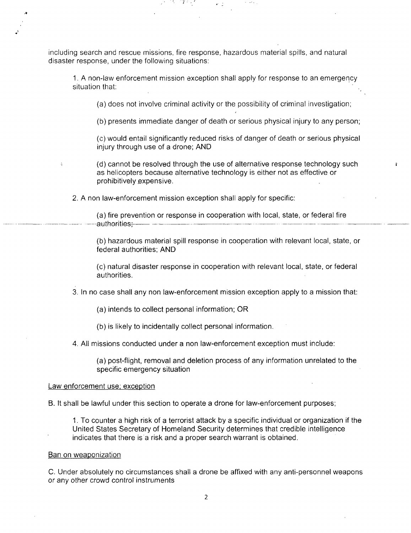including search and rescue missions, fire response, hazardous material spills, and natural disaster response, under the following situations:

1. A non-law enforcement mission exception shall apply for response to an emergency situation that:

(a) does not involve criminal activity or the possibility of criminal investigation;

(b) presents immediate danger of death or serious physical injury to any person;

(c) would entail significantly reduced risks of danger of death or serious physical injury through use of a drone; AND

(d) cannot be resolved through the use of alternative response technology such as helicopters because alternative technology is either not as effective or prohibitively expensive.

2. A non law-enforcement mission exception shall apply for specific:

(a) fire prevention or response in cooperation with local, state, or federal fire -authorities; —— —— -------------

(b) hazardous material spill response in cooperation with relevant local, state, or federal authorities; AND

(c) natural disaster response in cooperation with relevant local, state, or federal authorities.

3. In no case shall any non law-enforcement mission exception apply to a mission that:

(a) intends to collect personal information; OR

(b) is likely to incidentally collect personal information.

4. All missions conducted under a non law-enforcement exception must include:

(a) post-flight, removal and deletion process of any information unrelated to the specific emergency situation

#### Law enforcement use; exception

B. It shall be lawful under this section to operate a drone for law-enforcement purposes;

1. To counter a high risk of a terrorist attack by a specific individual or organization if the United States Secretary of Homeland Security determines that credible intelligence indicates that there is a risk and a proper search warrant is obtained.

#### Ban on weaponization

C. Under absolutely no circumstances shall a drone be affixed with any anti-personnel weapons or any other crowd control instruments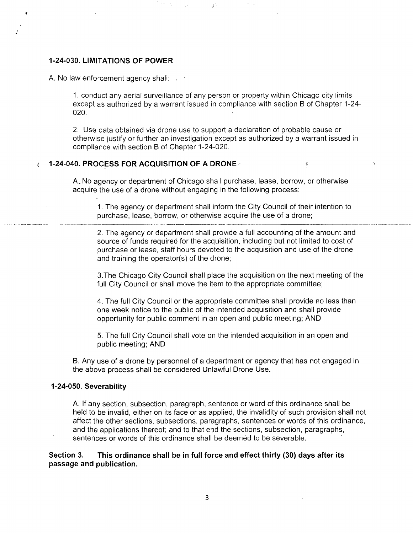# **1-24-030. LIMITATIONS OF POWER**

A. No law enforcement agency shall:  $\ldots$ 

1. conduct any aerial surveillance of any person or property within Chicago city limits except as authorized by a warrant issued in compliance with section B of Chapter 1-24- 020.

2. Use data obtained via drone use to support a declaration of probable cause or otherwise justify or further an investigation except as authorized by a warrant issued in compliance with section B of Chapter 1-24-020.

#### 1-24-040. PROCESS FOR ACQUISITION OF A DRONE -  $\mathcal{I}$

 $\alpha\in\mathcal{A}$ 

A. No agency or department of Chicago shall purchase, lease, borrow, or otherwise acquire the use of a drone without engaging in the following process:

1. The agency or department shall inform the City Council of their intention to purchase, lease, borrow, or otherwise acquire the use of a drone;

2. The agency or department shall provide a full accounting of the amount and source of funds required for the acquisition, including but not limited to cost of purchase or lease, staff hours devoted to the acquisition and use of the drone and training the operator(s) of the drone;

3. The Chicago City Council shall place the acquisition on the next meeting of the full City Council or shall move the item to the appropriate committee;

4. The full City Council or the appropriate committee shall provide no less than one week notice to the public of the intended acquisition and shall provide opportunity for public comment in an open and public meeting; AND

5. The full City Council shall vote on the intended acquisition in an open and public meeting; AND

B. Any use of a drone by personnel of a department or agency that has not engaged in the above process shall be considered Unlawful Drone Use.

#### **1-24-050. Severability**

A. If any section, subsection, paragraph, sentence or word of this ordinance shall be held to be invalid, either on its face or as applied, the invalidity of such provision shall not affect the other sections, subsections, paragraphs, sentences or words of this ordinance, and the applications thereof; and to that end the sections, subsection, paragraphs, sentences or words of this ordinance shall be deemed to be severable.

# **Section 3. This ordinance shall be in full force and effect thirty (30) days after its passage and publication.**